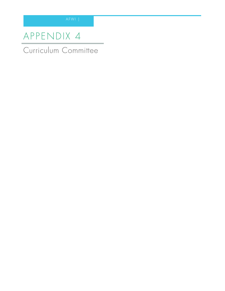# AP PENDIX 4

Curriculum Committee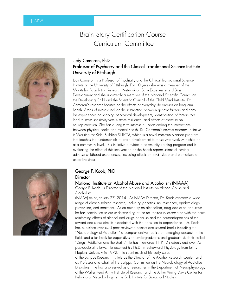## Brain Story Certification Course Curriculum Committee



### Judy Cameron, PhD Professor of Psychiatry and the Clinical Translational Science Institute University of Pittsburgh

Judy Cameron is a Professor of Psychiatry and the Clinical Translational Science Institute at the University of Pittsburgh. For 10 years she was a member of the MacArthur Foundation Research Network on Early Experience and Brain Development and she is currently a mem-ber of the National Scientific Council on the Developing Child and the Scientific Council of the Child Mind Institute. Dr. Cameron's research focuses on the effects of everyday life stresses on long-term health. Areas of interest include the interaction between genetic fac-tors and early life experiences on shaping behavioral development, identification of factors that lead to stress sensitivity versus stress resilience, and effects of exercise on neuroprotec-tion. She has a long-term interest in understanding the interactions between physical health and mental health. Dr. Cameron's newest research initiative is Working for Kids: Building SkillsTM, which is a novel community-based program that teaches the fundamentals of brain development to those who work with children at a community level. This initiative provides a community training program and is evaluating the effect of this intervention on the health repercussions of having adverse childhood experiences, including effects on EEG, sleep and biomarkers of oxidative stress.



#### George F. Koob, PhD **Director**

#### National Institute on Alcohol Abuse and Alcoholism (NIAAA)

George F. Koob, is Director of the National Institute on Alcohol Abuse and Alcoholism

(NIAAA) as of January 27, 2014. As NIAAA Director, Dr. Koob oversees a wide range of alcohol-related research, including genetics, neuroscience, epidemiology, prevention, and treatment. As an authority on alcoholism, drug addiction and stress, he has contributed to our understanding of the neurocircuitry associated with the acute reinforcing effects of alcohol and drugs of abuse and the neuroadaptations of the reward and stress circuits associated with the transition to dependence. Dr. Koob has published over 650 peer re-viewed papers and several books including the "Neurobiology of Addiction," a compre-hensive treatise on emerging research in the field, and a textbook for upper division un-dergraduates and graduate students called "Drugs, Addiction and the Brain." He has men-tored 11 Ph.D students and over 75 post-doctoral fellows. He received his Ph.D. in Behav-ioral Physiology from Johns Hopkins University in 1972. He spent much of his early career at the Scripps Research Institute as the Director of the Alcohol Research Center, and as Professor and Chair of the Scripps' Committee on the Neurobiology of Addictive Disorders. He has also served as a researcher in the Department of Neurophysiology at the Walter Reed Army Institute of Research and the Arthur Vining Davis Center for Behavioral Neurobiology at the Salk Institute for Biological Studies.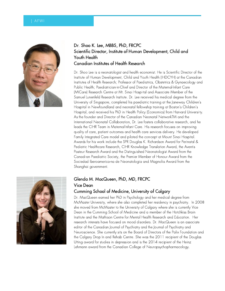

#### Dr. Shoo K. Lee, MBBS, PhD, FRCPC Scientific Director, Institute of Human Development, Child and Youth Health Canadian Institutes of Health Research

Dr. Shoo Lee is a neonatologist and health economist. He is Scientific Director of the Institute of Human Development, Child and Youth Health (IHDCYH) at the Canadian Institutes of Health Research; Professor of Paediatrics, Obstetrics & Gynaecology and Public Health; Paediatrician-in-Chief and Director of the Maternal-Infant Care (MICare) Research Centre at Mt. Sinai Hospi-tal and Associate Member of the Samuel Lunenfeld Research Institute. Dr. Lee received his medical degree from the University of Singapore, completed his paediatric training at the Janeway Children's Hospital in Newfoundland and neonatal fellowship training at Boston's Children's Hospital, and received his PhD in Health Policy (Economics) from Harvard Universi-ty. As the founder and Director of the Canadian Neonatal NetworkTM and the International Neonatal Collaboration, Dr. Lee fosters collaborative research, and he leads the CIHR Team in Maternal-Infant Care. His research focuses on improving quality of care, patient outcomes and health care services delivery. He developed Family Integrated Care model and piloted the con-cept at Mount Sinai Hospital. Awards for his work include the SPR Douglas K. Richardson Award for Perinatal & Pediatric Healthcare Research, CIHR Knowledge Translation Award, the Aventis Pasteur Research Award and the Distinguished Neonatologist Award from the Canadi-an Paediatric Society, the Premier Member of Honour Award from the Sociedad Iberoamerica-na de Neonatologia and Magnolia Award from the Shanghai government.



#### Glenda M. MacQueen, PhD, MD, FRCPC Vice Dean

#### Cumming School of Medicine, University of Calgary

Dr. MacQueen earned her PhD in Psychology and her medical degree from McMaster University, where she also completed her residency in psychiatry. In 2008 she moved from McMaster to the University of Calgary where she is currently Vice Dean in the Cumming School of Medicine and a member of the Hotchkiss Brain Institute and the Mathison Centre for Mental Health Research and Education. Her research interests have focused on mood disorders. Dr. MacQueen is an associate editor of the Canadian Journal of Psychiatry and the Journal of Psychiatry and Neuroscience. She currently sits on the Board of Directors of the Palix Foundation and the Calgary Drop In and Rehab Centre. She was the 2011 recipient of the Douglas Utting award for studies in depression and is the 2014 recipient of the Heinz Lehmann award from the Canadian College of Neuropsychopharmacology.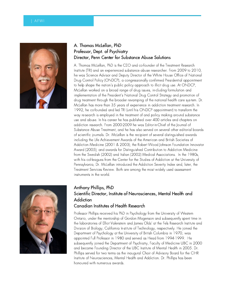

### A. Thomas McLellan, PhD Professor, Dept. of Psychiatry Director, Penn Center for Substance Abuse Solutions

A. Thomas McLellan, PhD is the CEO and co-founder of the Treatment Research Institute (TRI) and an experienced substance abuse researcher. From 2009 to 2010, he was Science Advisor and Deputy Director of the White House Office of National Drug Control Policy (ONDCP), a congressionally confirmed Presidential appointment to help shape the nation's public policy approach to illicit drug use. At ONDCP, McLellan worked on a broad range of drug issues, in-cluding formulation and implementation of the President's National Drug Control Strategy and promotion of drug treatment through the broader revamping of the national health care sys-tem. Dr. McLellan has more than 35 years of experience in addiction treatment research. In 1992, he co-founded and led TRI (until his ONDCP appointment) to transform the way re-search is employed in the treatment of and policy making around substance use and abuse. In his career he has published over 400 articles and chapters on addiction research. From 2000-2009 he was Editor-in-Chief of the Journal of Substance Abuse Treatment, and he has also served on several other editorial boards of scientific journals. Dr. McLellan is the recipient of several distinguished awards including the Life Achievement Awards of the American and British Societies of Addiction Medicine (2001 & 2003); the Robert Wood Johnson Foundation Innovator Award (2005); and awards for Distinguished Contribution to Addiction Medicine from the Swedish (2002) and Italian (2002) Medical Associations. In the 1980s, with his col-leagues from the Center for the Studies of Addiction at the University of Pennsylvania, Dr. McLellan introduced the Addiction Severity Index and, later, the Treatment Services Review. Both are among the most widely used assessment instruments in the world.



### Anthony Phillips, PhD Scientific Director, Institute of Neurosciences, Mental Health and **Addiction**

#### Canadian Institutes of Health Research

Professor Phillips received his PhD in Psychology from the University of Western Ontario, under the mentorship of Gordon Mogenson and subsequently spent time in the laboratories of Elliot Valenstein and James Olds' at the Fels Research Institute and Division of Biology, California In-stitute of Technology, respectively. He joined the Department of Psychology at the University of British Columbia in 1970, was appointed Full Professor in 1980 and served as Head from 1994-1999. He subsequently joined the Department of Psychiatry, Faculty of Medicine UBC in 2000 and became Founding Director of the UBC Institute of Mental Health in 2005. Dr. Phillips served for two terms as the inaugural Chair of Advisory Board for the CIHR Institute of Neurosciences, Mental Health and Addiction. Dr. Phillips has been honoured with numerous awards.